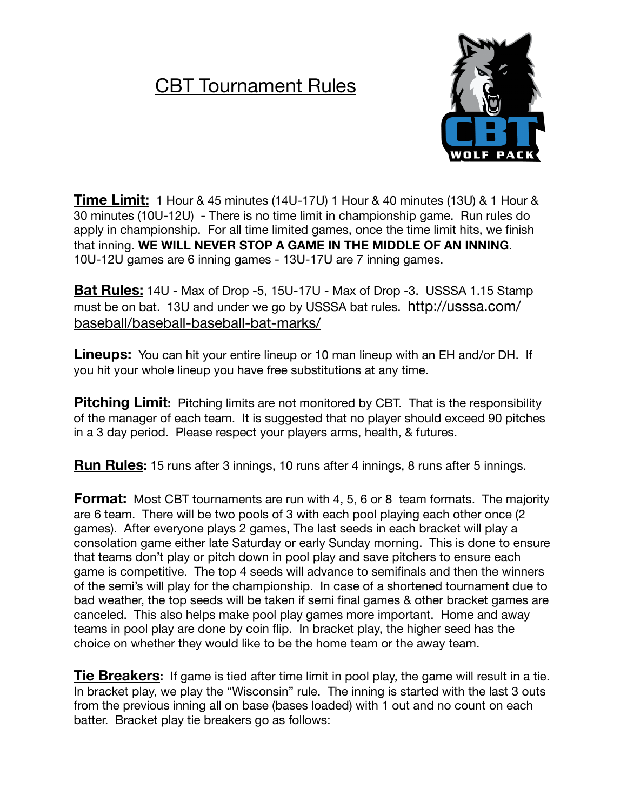## CBT Tournament Rules



**Time Limit:** 1 Hour & 45 minutes (14U-17U) 1 Hour & 40 minutes (13U) & 1 Hour & 30 minutes (10U-12U) - There is no time limit in championship game. Run rules do apply in championship. For all time limited games, once the time limit hits, we finish that inning. **WE WILL NEVER STOP A GAME IN THE MIDDLE OF AN INNING**. 10U-12U games are 6 inning games - 13U-17U are 7 inning games.

**Bat Rules:** 14U - Max of Drop -5, 15U-17U - Max of Drop -3. USSSA 1.15 Stamp must be on bat. 13U and under we go by USSSA bat rules. [http://usssa.com/](http://usssa.com/baseball/baseball-baseball-bat-marks/) [baseball/baseball-baseball-bat-marks/](http://usssa.com/baseball/baseball-baseball-bat-marks/)

**Lineups:** You can hit your entire lineup or 10 man lineup with an EH and/or DH. If you hit your whole lineup you have free substitutions at any time.

**Pitching Limit:** Pitching limits are not monitored by CBT. That is the responsibility of the manager of each team. It is suggested that no player should exceed 90 pitches in a 3 day period. Please respect your players arms, health, & futures.

**Run Rules:** 15 runs after 3 innings, 10 runs after 4 innings, 8 runs after 5 innings.

**Format:** Most CBT tournaments are run with 4, 5, 6 or 8 team formats. The majority are 6 team. There will be two pools of 3 with each pool playing each other once (2 games). After everyone plays 2 games, The last seeds in each bracket will play a consolation game either late Saturday or early Sunday morning. This is done to ensure that teams don't play or pitch down in pool play and save pitchers to ensure each game is competitive. The top 4 seeds will advance to semifinals and then the winners of the semi's will play for the championship. In case of a shortened tournament due to bad weather, the top seeds will be taken if semi final games & other bracket games are canceled. This also helps make pool play games more important. Home and away teams in pool play are done by coin flip. In bracket play, the higher seed has the choice on whether they would like to be the home team or the away team.

**Tie Breakers:** If game is tied after time limit in pool play, the game will result in a tie. In bracket play, we play the "Wisconsin" rule. The inning is started with the last 3 outs from the previous inning all on base (bases loaded) with 1 out and no count on each batter. Bracket play tie breakers go as follows: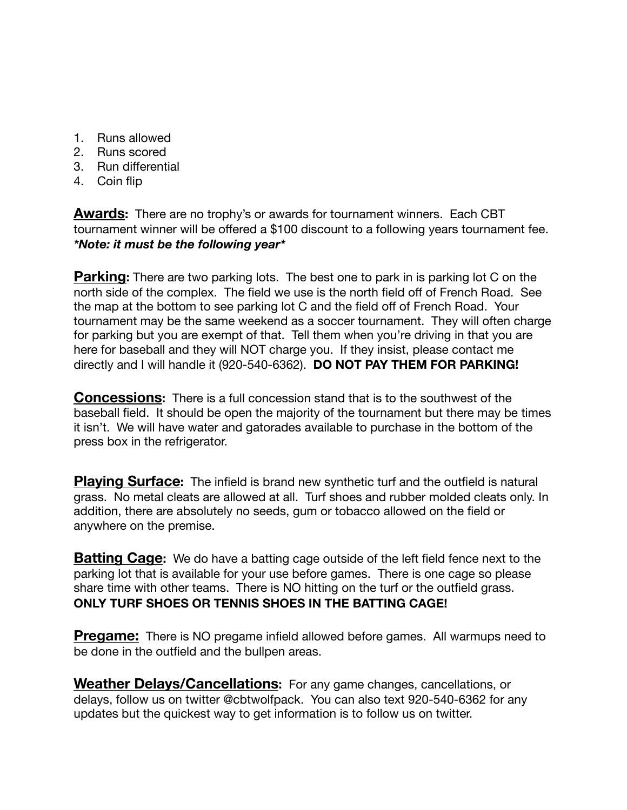- 1. Runs allowed
- 2. Runs scored
- 3. Run differential
- 4. Coin flip

**Awards:** There are no trophy's or awards for tournament winners. Each CBT tournament winner will be offered a \$100 discount to a following years tournament fee. *\*Note: it must be the following year\**

**Parking:** There are two parking lots. The best one to park in is parking lot C on the north side of the complex. The field we use is the north field off of French Road. See the map at the bottom to see parking lot C and the field off of French Road. Your tournament may be the same weekend as a soccer tournament. They will often charge for parking but you are exempt of that. Tell them when you're driving in that you are here for baseball and they will NOT charge you. If they insist, please contact me directly and I will handle it (920-540-6362). **DO NOT PAY THEM FOR PARKING!**

**Concessions:** There is a full concession stand that is to the southwest of the baseball field. It should be open the majority of the tournament but there may be times it isn't. We will have water and gatorades available to purchase in the bottom of the press box in the refrigerator.

**Playing Surface:** The infield is brand new synthetic turf and the outfield is natural grass. No metal cleats are allowed at all. Turf shoes and rubber molded cleats only. In addition, there are absolutely no seeds, gum or tobacco allowed on the field or anywhere on the premise.

**Batting Cage:** We do have a batting cage outside of the left field fence next to the parking lot that is available for your use before games. There is one cage so please share time with other teams. There is NO hitting on the turf or the outfield grass. **ONLY TURF SHOES OR TENNIS SHOES IN THE BATTING CAGE!**

**Pregame:** There is NO pregame infield allowed before games. All warmups need to be done in the outfield and the bullpen areas.

**Weather Delays/Cancellations:** For any game changes, cancellations, or delays, follow us on twitter @cbtwolfpack. You can also text 920-540-6362 for any updates but the quickest way to get information is to follow us on twitter.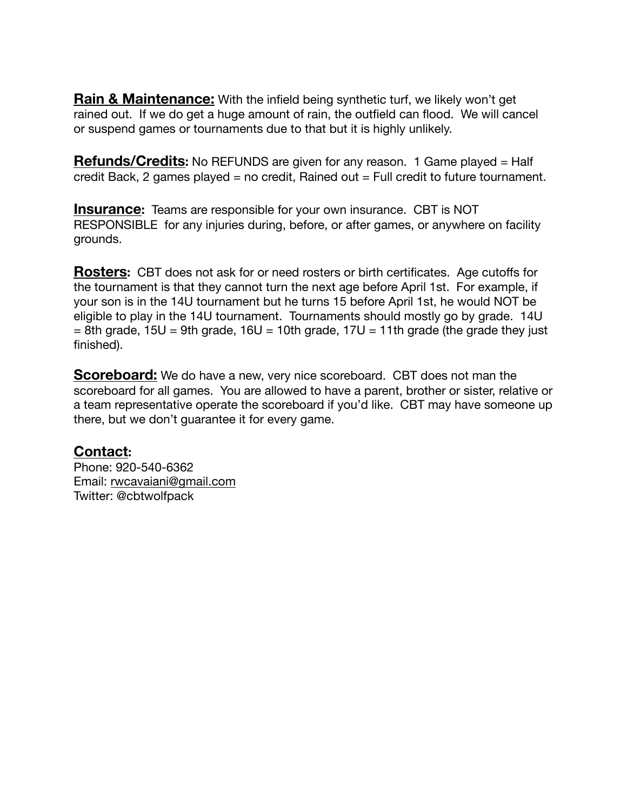**Rain & Maintenance:** With the infield being synthetic turf, we likely won't get rained out. If we do get a huge amount of rain, the outfield can flood. We will cancel or suspend games or tournaments due to that but it is highly unlikely.

**Refunds/Credits:** No REFUNDS are given for any reason. 1 Game played = Half credit Back, 2 games played = no credit, Rained out = Full credit to future tournament.

**Insurance:** Teams are responsible for your own insurance. CBT is NOT RESPONSIBLE for any injuries during, before, or after games, or anywhere on facility grounds.

**Rosters:** CBT does not ask for or need rosters or birth certificates. Age cutoffs for the tournament is that they cannot turn the next age before April 1st. For example, if your son is in the 14U tournament but he turns 15 before April 1st, he would NOT be eligible to play in the 14U tournament. Tournaments should mostly go by grade. 14U  $= 8$ th grade, 15U = 9th grade, 16U = 10th grade, 17U = 11th grade (the grade they just finished).

**Scoreboard:** We do have a new, very nice scoreboard. CBT does not man the scoreboard for all games. You are allowed to have a parent, brother or sister, relative or a team representative operate the scoreboard if you'd like. CBT may have someone up there, but we don't guarantee it for every game.

## **Contact:**

Phone: 920-540-6362 Email: [rwcavaiani@gmail.com](mailto:rwcavaiani@gmail.com) Twitter: @cbtwolfpack